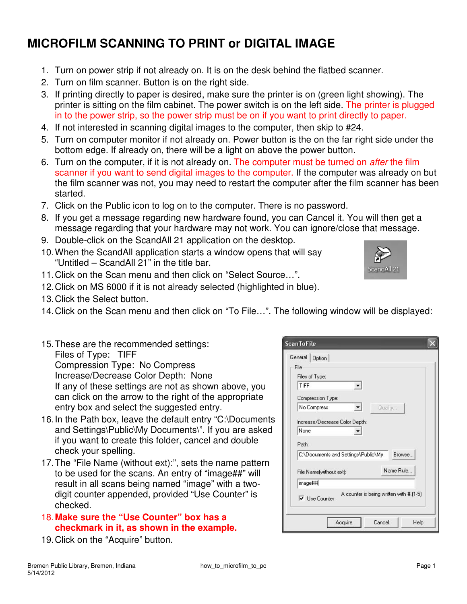## **MICROFILM SCANNING TO PRINT or DIGITAL IMAGE**

- 1. Turn on power strip if not already on. It is on the desk behind the flatbed scanner.
- 2. Turn on film scanner. Button is on the right side.
- 3. If printing directly to paper is desired, make sure the printer is on (green light showing). The printer is sitting on the film cabinet. The power switch is on the left side. The printer is plugged in to the power strip, so the power strip must be on if you want to print directly to paper.
- 4. If not interested in scanning digital images to the computer, then skip to #24.
- 5. Turn on computer monitor if not already on. Power button is the on the far right side under the bottom edge. If already on, there will be a light on above the power button.
- 6. Turn on the computer, if it is not already on. The computer must be turned on after the film scanner if you want to send digital images to the computer. If the computer was already on but the film scanner was not, you may need to restart the computer after the film scanner has been started.
- 7. Click on the Public icon to log on to the computer. There is no password.
- 8. If you get a message regarding new hardware found, you can Cancel it. You will then get a message regarding that your hardware may not work. You can ignore/close that message.
- 9. Double-click on the ScandAll 21 application on the desktop.
- 10. When the ScandAll application starts a window opens that will say "Untitled – ScandAll 21" in the title bar.
- 11. Click on the Scan menu and then click on "Select Source…".
- 12. Click on MS 6000 if it is not already selected (highlighted in blue).
- 13. Click the Select button.
- 14. Click on the Scan menu and then click on "To File…". The following window will be displayed:
- 15. These are the recommended settings: Files of Type: TIFF Compression Type: No Compress Increase/Decrease Color Depth: None If any of these settings are not as shown above, you can click on the arrow to the right of the appropriate entry box and select the suggested entry.
- 16. In the Path box, leave the default entry "C:\Documents and Settings\Public\My Documents\". If you are asked if you want to create this folder, cancel and double check your spelling.
- 17. The "File Name (without ext):", sets the name pattern to be used for the scans. An entry of "image##" will result in all scans being named "image" with a twodigit counter appended, provided "Use Counter" is checked.
- 18. **Make sure the "Use Counter" box has a checkmark in it, as shown in the example.**
- 19. Click on the "Acquire" button.

| File<br>Files of Type:              |                                         |           |
|-------------------------------------|-----------------------------------------|-----------|
| TIFF                                |                                         |           |
| Compression Type:                   |                                         |           |
| No Compress                         |                                         | Quality   |
| Increase/Decrease Color Depth:      |                                         |           |
| None                                |                                         |           |
| Path:                               |                                         |           |
| C:\Documents and Settings\Public\My |                                         | Browse.   |
| File Name[without ext]:             |                                         | Name Rule |
| image##                             |                                         |           |
| $\overline{\mathbf{v}}$ Use Counter | A counter is being written with #.[1-5] |           |

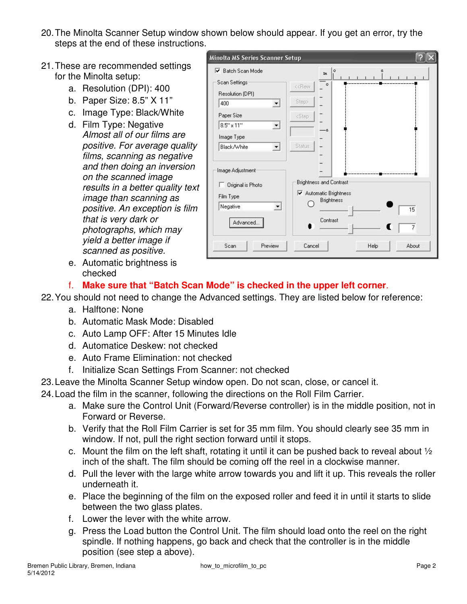- 20. The Minolta Scanner Setup window shown below should appear. If you get an error, try the steps at the end of these instructions.
- 21. These are recommended settings for the Minolta setup:
	- a. Resolution (DPI): 400
	- b. Paper Size: 8.5" X 11"
	- c. Image Type: Black/White
	- d. Film Type: Negative Almost all of our films are positive. For average quality films, scanning as negative and then doing an inversion on the scanned image results in a better quality text image than scanning as positive. An exception is film that is very dark or photographs, which may yield a better image if scanned as positive.
	- e. Automatic brightness is checked

| Scan Settings                                                                   | In<br>$\circ$                                                                           |                |
|---------------------------------------------------------------------------------|-----------------------------------------------------------------------------------------|----------------|
| Resolution (DPI)                                                                | < <rew< td=""><td></td></rew<>                                                          |                |
| 400                                                                             | Step>                                                                                   |                |
| Paper Size                                                                      | <step< td=""><td></td></step<>                                                          |                |
| $8.5'' \times 11''$                                                             | -6                                                                                      |                |
| Image Type                                                                      |                                                                                         |                |
| Black/White<br>▼                                                                | Status.                                                                                 |                |
| Image Adjustment<br>Original is Photo<br>Film Type<br>Negative<br>▾<br>Advanced | <b>Brightness and Contrast</b><br>Automatic Brightness<br><b>Brightness</b><br>Contrast | 15             |
|                                                                                 |                                                                                         | $\overline{7}$ |

### f. **Make sure that "Batch Scan Mode" is checked in the upper left corner**.

22. You should not need to change the Advanced settings. They are listed below for reference:

- a. Halftone: None
- b. Automatic Mask Mode: Disabled
- c. Auto Lamp OFF: After 15 Minutes Idle
- d. Automatice Deskew: not checked
- e. Auto Frame Elimination: not checked
- f. Initialize Scan Settings From Scanner: not checked
- 23. Leave the Minolta Scanner Setup window open. Do not scan, close, or cancel it.
- 24. Load the film in the scanner, following the directions on the Roll Film Carrier.
	- a. Make sure the Control Unit (Forward/Reverse controller) is in the middle position, not in Forward or Reverse.
	- b. Verify that the Roll Film Carrier is set for 35 mm film. You should clearly see 35 mm in window. If not, pull the right section forward until it stops.
	- c. Mount the film on the left shaft, rotating it until it can be pushed back to reveal about  $\frac{1}{2}$ inch of the shaft. The film should be coming off the reel in a clockwise manner.
	- d. Pull the lever with the large white arrow towards you and lift it up. This reveals the roller underneath it.
	- e. Place the beginning of the film on the exposed roller and feed it in until it starts to slide between the two glass plates.
	- f. Lower the lever with the white arrow.
	- g. Press the Load button the Control Unit. The film should load onto the reel on the right spindle. If nothing happens, go back and check that the controller is in the middle position (see step a above).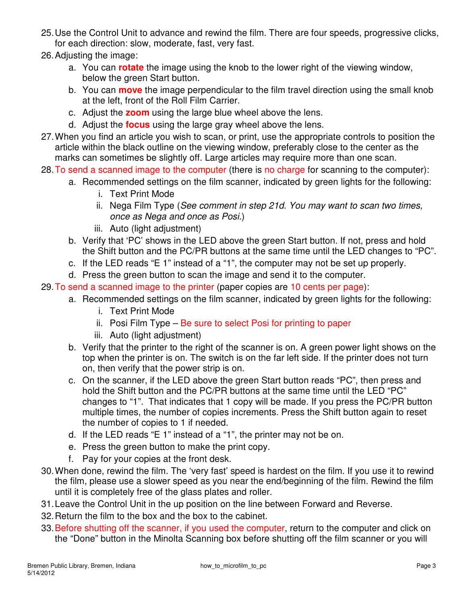- 25. Use the Control Unit to advance and rewind the film. There are four speeds, progressive clicks, for each direction: slow, moderate, fast, very fast.
- 26. Adjusting the image:
	- a. You can **rotate** the image using the knob to the lower right of the viewing window, below the green Start button.
	- b. You can **move** the image perpendicular to the film travel direction using the small knob at the left, front of the Roll Film Carrier.
	- c. Adjust the **zoom** using the large blue wheel above the lens.
	- d. Adjust the **focus** using the large gray wheel above the lens.
- 27. When you find an article you wish to scan, or print, use the appropriate controls to position the article within the black outline on the viewing window, preferably close to the center as the marks can sometimes be slightly off. Large articles may require more than one scan.
- 28. To send a scanned image to the computer (there is no charge for scanning to the computer):
	- a. Recommended settings on the film scanner, indicated by green lights for the following:
		- i. Text Print Mode
		- ii. Nega Film Type (See comment in step 21d. You may want to scan two times, once as Nega and once as Posi.)
		- iii. Auto (light adjustment)
	- b. Verify that 'PC' shows in the LED above the green Start button. If not, press and hold the Shift button and the PC/PR buttons at the same time until the LED changes to "PC".
	- c. If the LED reads "E 1" instead of a "1", the computer may not be set up properly.
	- d. Press the green button to scan the image and send it to the computer.

29. To send a scanned image to the printer (paper copies are 10 cents per page):

- a. Recommended settings on the film scanner, indicated by green lights for the following:
	- i. Text Print Mode
	- ii. Posi Film Type  $-$  Be sure to select Posi for printing to paper
	- iii. Auto (light adjustment)
- b. Verify that the printer to the right of the scanner is on. A green power light shows on the top when the printer is on. The switch is on the far left side. If the printer does not turn on, then verify that the power strip is on.
- c. On the scanner, if the LED above the green Start button reads "PC", then press and hold the Shift button and the PC/PR buttons at the same time until the LED "PC" changes to "1". That indicates that 1 copy will be made. If you press the PC/PR button multiple times, the number of copies increments. Press the Shift button again to reset the number of copies to 1 if needed.
- d. If the LED reads "E 1" instead of a "1", the printer may not be on.
- e. Press the green button to make the print copy.
- f. Pay for your copies at the front desk.
- 30. When done, rewind the film. The 'very fast' speed is hardest on the film. If you use it to rewind the film, please use a slower speed as you near the end/beginning of the film. Rewind the film until it is completely free of the glass plates and roller.
- 31. Leave the Control Unit in the up position on the line between Forward and Reverse.
- 32. Return the film to the box and the box to the cabinet.
- 33. Before shutting off the scanner, if you used the computer, return to the computer and click on the "Done" button in the Minolta Scanning box before shutting off the film scanner or you will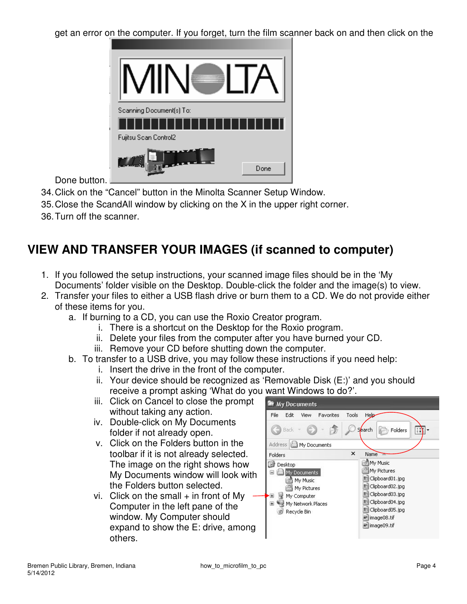get an error on the computer. If you forget, turn the film scanner back on and then click on the

| Scanning Document(s) To:<br>Fujitsu Scan Control2 |      |
|---------------------------------------------------|------|
|                                                   | Done |

Done button.

- 34. Click on the "Cancel" button in the Minolta Scanner Setup Window.
- 35. Close the ScandAll window by clicking on the X in the upper right corner.
- 36. Turn off the scanner.

# **VIEW AND TRANSFER YOUR IMAGES (if scanned to computer)**

- 1. If you followed the setup instructions, your scanned image files should be in the 'My Documents' folder visible on the Desktop. Double-click the folder and the image(s) to view.
- 2. Transfer your files to either a USB flash drive or burn them to a CD. We do not provide either of these items for you.
	- a. If burning to a CD, you can use the Roxio Creator program.
		- i. There is a shortcut on the Desktop for the Roxio program.
		- ii. Delete your files from the computer after you have burned your CD.
		- iii. Remove your CD before shutting down the computer.
	- b. To transfer to a USB drive, you may follow these instructions if you need help:
		- i. Insert the drive in the front of the computer.
		- ii. Your device should be recognized as 'Removable Disk (E:)' and you should receive a prompt asking 'What do you want Windows to do?'.
		- iii. Click on Cancel to close the prompt without taking any action.
		- iv. Double-click on My Documents folder if not already open.
		- v. Click on the Folders button in the toolbar if it is not already selected. The image on the right shows how My Documents window will look with the Folders button selected.
		- vi. Click on the small  $+$  in front of My Computer in the left pane of the window. My Computer should expand to show the E: drive, among others.

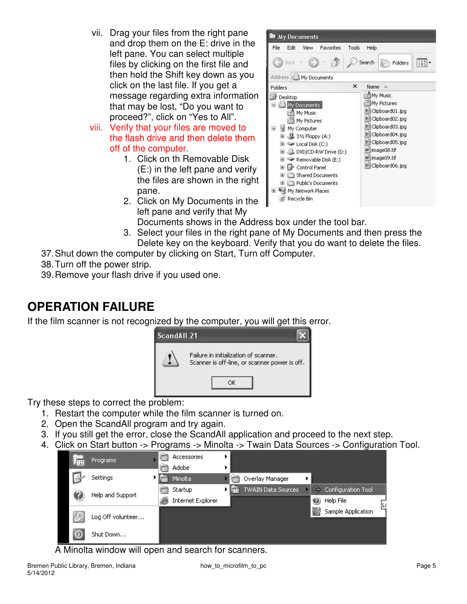- vii. Drag your files from the right pane and drop them on the E: drive in the left pane. You can select multiple files by clicking on the first file and then hold the Shift key down as you click on the last file. If you get a message regarding extra information that may be lost, "Do you want to proceed?", click on "Yes to All".
- viii. Verify that your files are moved to the flash drive and then delete them off of the computer.
	- 1. Click on th Removable Disk (E:) in the left pane and verify the files are shown in the right pane.
	- 2. Click on My Documents in the left pane and verify that My



Documents shows in the Address box under the tool bar.

- 3. Select your files in the right pane of My Documents and then press the Delete key on the keyboard. Verify that you do want to delete the files.
- 37. Shut down the computer by clicking on Start, Turn off Computer.
- 38. Turn off the power strip.
- 39. Remove your flash drive if you used one.

## **OPERATION FAILURE**

If the film scanner is not recognized by the computer, you will get this error.



Try these steps to correct the problem:

- 1. Restart the computer while the film scanner is turned on.
- 2. Open the ScandAll program and try again.
- 3. If you still get the error, close the ScandAll application and proceed to the next step.
- 4. Click on Start button -> Programs -> Minolta -> Twain Data Sources -> Configuration Tool.



A Minolta window will open and search for scanners.